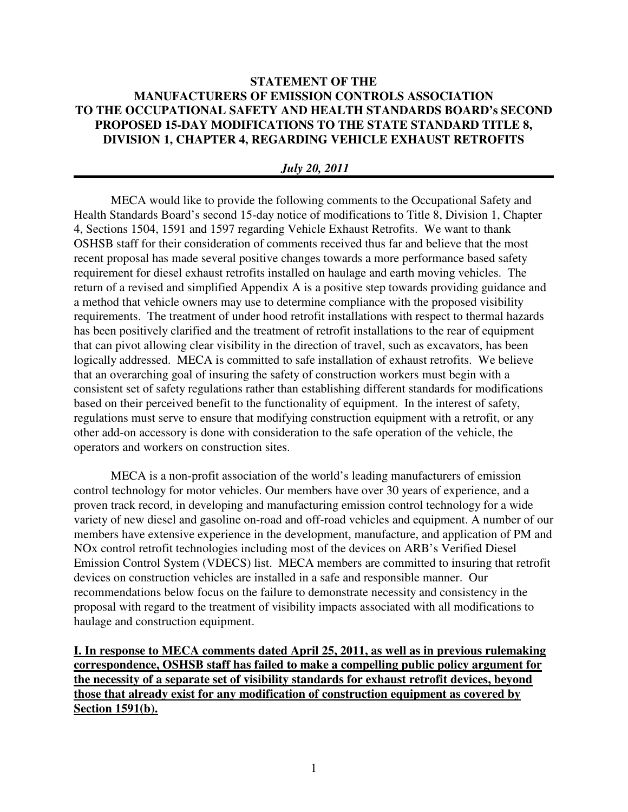## **STATEMENT OF THE MANUFACTURERS OF EMISSION CONTROLS ASSOCIATION TO THE OCCUPATIONAL SAFETY AND HEALTH STANDARDS BOARD's SECOND PROPOSED 15-DAY MODIFICATIONS TO THE STATE STANDARD TITLE 8, DIVISION 1, CHAPTER 4, REGARDING VEHICLE EXHAUST RETROFITS**

#### *July 20, 2011*

MECA would like to provide the following comments to the Occupational Safety and Health Standards Board's second 15-day notice of modifications to Title 8, Division 1, Chapter 4, Sections 1504, 1591 and 1597 regarding Vehicle Exhaust Retrofits. We want to thank OSHSB staff for their consideration of comments received thus far and believe that the most recent proposal has made several positive changes towards a more performance based safety requirement for diesel exhaust retrofits installed on haulage and earth moving vehicles. The return of a revised and simplified Appendix A is a positive step towards providing guidance and a method that vehicle owners may use to determine compliance with the proposed visibility requirements. The treatment of under hood retrofit installations with respect to thermal hazards has been positively clarified and the treatment of retrofit installations to the rear of equipment that can pivot allowing clear visibility in the direction of travel, such as excavators, has been logically addressed. MECA is committed to safe installation of exhaust retrofits. We believe that an overarching goal of insuring the safety of construction workers must begin with a consistent set of safety regulations rather than establishing different standards for modifications based on their perceived benefit to the functionality of equipment. In the interest of safety, regulations must serve to ensure that modifying construction equipment with a retrofit, or any other add-on accessory is done with consideration to the safe operation of the vehicle, the operators and workers on construction sites.

MECA is a non-profit association of the world's leading manufacturers of emission control technology for motor vehicles. Our members have over 30 years of experience, and a proven track record, in developing and manufacturing emission control technology for a wide variety of new diesel and gasoline on-road and off-road vehicles and equipment. A number of our members have extensive experience in the development, manufacture, and application of PM and NOx control retrofit technologies including most of the devices on ARB's Verified Diesel Emission Control System (VDECS) list. MECA members are committed to insuring that retrofit devices on construction vehicles are installed in a safe and responsible manner. Our recommendations below focus on the failure to demonstrate necessity and consistency in the proposal with regard to the treatment of visibility impacts associated with all modifications to haulage and construction equipment.

**I. In response to MECA comments dated April 25, 2011, as well as in previous rulemaking correspondence, OSHSB staff has failed to make a compelling public policy argument for the necessity of a separate set of visibility standards for exhaust retrofit devices, beyond those that already exist for any modification of construction equipment as covered by Section 1591(b).**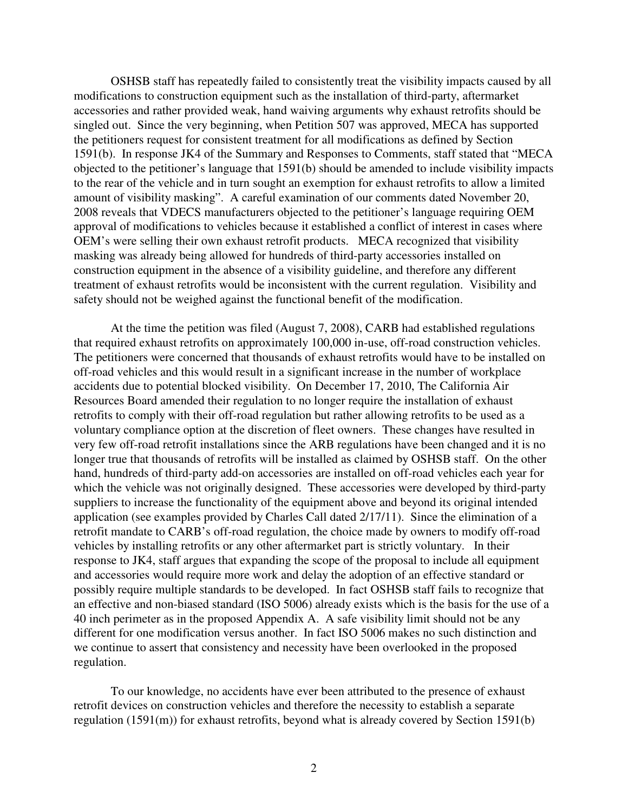OSHSB staff has repeatedly failed to consistently treat the visibility impacts caused by all modifications to construction equipment such as the installation of third-party, aftermarket accessories and rather provided weak, hand waiving arguments why exhaust retrofits should be singled out. Since the very beginning, when Petition 507 was approved, MECA has supported the petitioners request for consistent treatment for all modifications as defined by Section 1591(b). In response JK4 of the Summary and Responses to Comments, staff stated that "MECA objected to the petitioner's language that 1591(b) should be amended to include visibility impacts to the rear of the vehicle and in turn sought an exemption for exhaust retrofits to allow a limited amount of visibility masking". A careful examination of our comments dated November 20, 2008 reveals that VDECS manufacturers objected to the petitioner's language requiring OEM approval of modifications to vehicles because it established a conflict of interest in cases where OEM's were selling their own exhaust retrofit products. MECA recognized that visibility masking was already being allowed for hundreds of third-party accessories installed on construction equipment in the absence of a visibility guideline, and therefore any different treatment of exhaust retrofits would be inconsistent with the current regulation. Visibility and safety should not be weighed against the functional benefit of the modification.

At the time the petition was filed (August 7, 2008), CARB had established regulations that required exhaust retrofits on approximately 100,000 in-use, off-road construction vehicles. The petitioners were concerned that thousands of exhaust retrofits would have to be installed on off-road vehicles and this would result in a significant increase in the number of workplace accidents due to potential blocked visibility. On December 17, 2010, The California Air Resources Board amended their regulation to no longer require the installation of exhaust retrofits to comply with their off-road regulation but rather allowing retrofits to be used as a voluntary compliance option at the discretion of fleet owners. These changes have resulted in very few off-road retrofit installations since the ARB regulations have been changed and it is no longer true that thousands of retrofits will be installed as claimed by OSHSB staff. On the other hand, hundreds of third-party add-on accessories are installed on off-road vehicles each year for which the vehicle was not originally designed. These accessories were developed by third-party suppliers to increase the functionality of the equipment above and beyond its original intended application (see examples provided by Charles Call dated 2/17/11). Since the elimination of a retrofit mandate to CARB's off-road regulation, the choice made by owners to modify off-road vehicles by installing retrofits or any other aftermarket part is strictly voluntary. In their response to JK4, staff argues that expanding the scope of the proposal to include all equipment and accessories would require more work and delay the adoption of an effective standard or possibly require multiple standards to be developed. In fact OSHSB staff fails to recognize that an effective and non-biased standard (ISO 5006) already exists which is the basis for the use of a 40 inch perimeter as in the proposed Appendix A. A safe visibility limit should not be any different for one modification versus another. In fact ISO 5006 makes no such distinction and we continue to assert that consistency and necessity have been overlooked in the proposed regulation.

To our knowledge, no accidents have ever been attributed to the presence of exhaust retrofit devices on construction vehicles and therefore the necessity to establish a separate regulation (1591(m)) for exhaust retrofits, beyond what is already covered by Section 1591(b)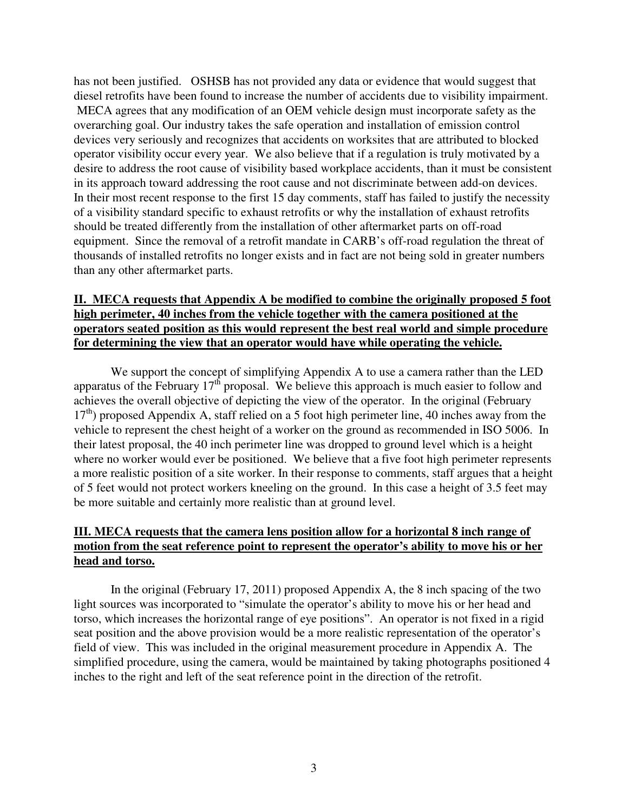has not been justified. OSHSB has not provided any data or evidence that would suggest that diesel retrofits have been found to increase the number of accidents due to visibility impairment. MECA agrees that any modification of an OEM vehicle design must incorporate safety as the overarching goal. Our industry takes the safe operation and installation of emission control devices very seriously and recognizes that accidents on worksites that are attributed to blocked operator visibility occur every year. We also believe that if a regulation is truly motivated by a desire to address the root cause of visibility based workplace accidents, than it must be consistent in its approach toward addressing the root cause and not discriminate between add-on devices. In their most recent response to the first 15 day comments, staff has failed to justify the necessity of a visibility standard specific to exhaust retrofits or why the installation of exhaust retrofits should be treated differently from the installation of other aftermarket parts on off-road equipment. Since the removal of a retrofit mandate in CARB's off-road regulation the threat of thousands of installed retrofits no longer exists and in fact are not being sold in greater numbers than any other aftermarket parts.

## **II. MECA requests that Appendix A be modified to combine the originally proposed 5 foot high perimeter, 40 inches from the vehicle together with the camera positioned at the operators seated position as this would represent the best real world and simple procedure for determining the view that an operator would have while operating the vehicle.**

We support the concept of simplifying Appendix A to use a camera rather than the LED apparatus of the February  $17<sup>th</sup>$  proposal. We believe this approach is much easier to follow and achieves the overall objective of depicting the view of the operator. In the original (February  $17<sup>th</sup>$ ) proposed Appendix A, staff relied on a 5 foot high perimeter line, 40 inches away from the vehicle to represent the chest height of a worker on the ground as recommended in ISO 5006. In their latest proposal, the 40 inch perimeter line was dropped to ground level which is a height where no worker would ever be positioned. We believe that a five foot high perimeter represents a more realistic position of a site worker. In their response to comments, staff argues that a height of 5 feet would not protect workers kneeling on the ground. In this case a height of 3.5 feet may be more suitable and certainly more realistic than at ground level.

## **III. MECA requests that the camera lens position allow for a horizontal 8 inch range of motion from the seat reference point to represent the operator's ability to move his or her head and torso.**

In the original (February 17, 2011) proposed Appendix A, the 8 inch spacing of the two light sources was incorporated to "simulate the operator's ability to move his or her head and torso, which increases the horizontal range of eye positions". An operator is not fixed in a rigid seat position and the above provision would be a more realistic representation of the operator's field of view. This was included in the original measurement procedure in Appendix A. The simplified procedure, using the camera, would be maintained by taking photographs positioned 4 inches to the right and left of the seat reference point in the direction of the retrofit.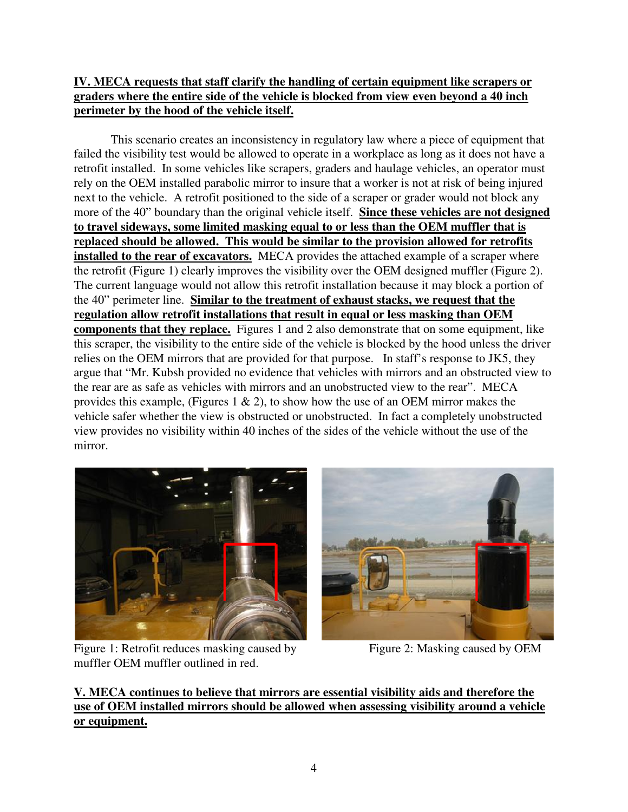# **IV. MECA requests that staff clarify the handling of certain equipment like scrapers or graders where the entire side of the vehicle is blocked from view even beyond a 40 inch perimeter by the hood of the vehicle itself.**

This scenario creates an inconsistency in regulatory law where a piece of equipment that failed the visibility test would be allowed to operate in a workplace as long as it does not have a retrofit installed. In some vehicles like scrapers, graders and haulage vehicles, an operator must rely on the OEM installed parabolic mirror to insure that a worker is not at risk of being injured next to the vehicle. A retrofit positioned to the side of a scraper or grader would not block any more of the 40" boundary than the original vehicle itself. **Since these vehicles are not designed to travel sideways, some limited masking equal to or less than the OEM muffler that is replaced should be allowed. This would be similar to the provision allowed for retrofits installed to the rear of excavators.** MECA provides the attached example of a scraper where the retrofit (Figure 1) clearly improves the visibility over the OEM designed muffler (Figure 2). The current language would not allow this retrofit installation because it may block a portion of the 40" perimeter line. **Similar to the treatment of exhaust stacks, we request that the regulation allow retrofit installations that result in equal or less masking than OEM components that they replace.** Figures 1 and 2 also demonstrate that on some equipment, like this scraper, the visibility to the entire side of the vehicle is blocked by the hood unless the driver relies on the OEM mirrors that are provided for that purpose. In staff's response to JK5, they argue that "Mr. Kubsh provided no evidence that vehicles with mirrors and an obstructed view to the rear are as safe as vehicles with mirrors and an unobstructed view to the rear". MECA provides this example, (Figures 1  $\&$  2), to show how the use of an OEM mirror makes the vehicle safer whether the view is obstructed or unobstructed. In fact a completely unobstructed view provides no visibility within 40 inches of the sides of the vehicle without the use of the mirror.



Figure 1: Retrofit reduces masking caused by Figure 2: Masking caused by OEM muffler OEM muffler outlined in red.

**V. MECA continues to believe that mirrors are essential visibility aids and therefore the use of OEM installed mirrors should be allowed when assessing visibility around a vehicle or equipment.**